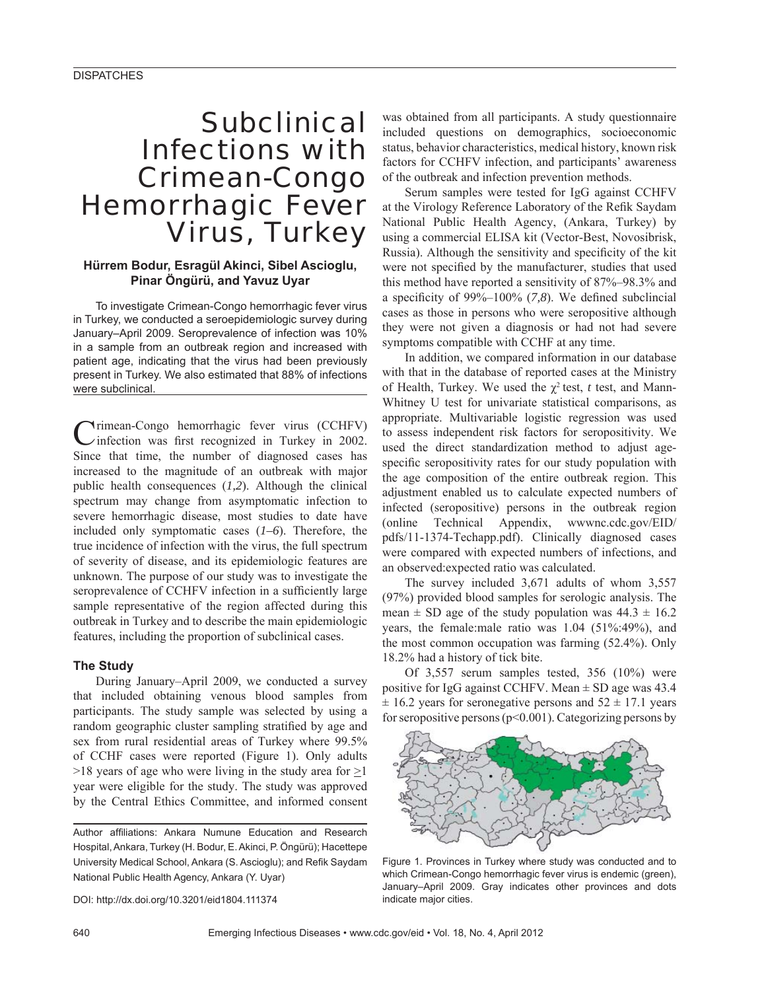# **Subclinical** Infections with Crimean-Congo Hemorrhagic Fever Virus, Turkey

## **Hürrem Bodur, Esragül Akinci, Sibel Ascioglu, Pinar Öngürü, and Yavuz Uyar**

To investigate Crimean-Congo hemorrhagic fever virus in Turkey, we conducted a seroepidemiologic survey during January–April 2009. Seroprevalence of infection was 10% in a sample from an outbreak region and increased with patient age, indicating that the virus had been previously present in Turkey. We also estimated that 88% of infections were subclinical.

Crimean-Congo hemorrhagic fever virus (CCHFV) infection was first recognized in Turkey in 2002. Since that time, the number of diagnosed cases has increased to the magnitude of an outbreak with major public health consequences (*1,2*). Although the clinical spectrum may change from asymptomatic infection to severe hemorrhagic disease, most studies to date have included only symptomatic cases (*1–6*). Therefore, the true incidence of infection with the virus, the full spectrum of severity of disease, and its epidemiologic features are unknown. The purpose of our study was to investigate the seroprevalence of CCHFV infection in a sufficiently large sample representative of the region affected during this outbreak in Turkey and to describe the main epidemiologic features, including the proportion of subclinical cases.

### **The Study**

During January–April 2009, we conducted a survey that included obtaining venous blood samples from participants. The study sample was selected by using a random geographic cluster sampling stratified by age and sex from rural residential areas of Turkey where 99.5% of CCHF cases were reported (Figure 1). Only adults  $>18$  years of age who were living in the study area for  $\geq$ 1 year were eligible for the study. The study was approved by the Central Ethics Committee, and informed consent

DOI: http://dx.doi.org/10.3201/eid1804.111374

was obtained from all participants. A study questionnaire included questions on demographics, socioeconomic status, behavior characteristics, medical history, known risk factors for CCHFV infection, and participants' awareness of the outbreak and infection prevention methods.

Serum samples were tested for IgG against CCHFV at the Virology Reference Laboratory of the Refik Saydam National Public Health Agency, (Ankara, Turkey) by using a commercial ELISA kit (Vector-Best, Novosibrisk, Russia). Although the sensitivity and specificity of the kit were not specified by the manufacturer, studies that used this method have reported a sensitivity of 87%–98.3% and a specificity of  $99\% - 100\%$  (7,8). We defined subclincial cases as those in persons who were seropositive although they were not given a diagnosis or had not had severe symptoms compatible with CCHF at any time.

In addition, we compared information in our database with that in the database of reported cases at the Ministry of Health, Turkey. We used the χ2 test, *t* test, and Mann-Whitney U test for univariate statistical comparisons, as appropriate. Multivariable logistic regression was used to assess independent risk factors for seropositivity. We used the direct standardization method to adjust agespecific seropositivity rates for our study population with the age composition of the entire outbreak region. This adjustment enabled us to calculate expected numbers of infected (seropositive) persons in the outbreak region (online Technical Appendix, wwwnc.cdc.gov/EID/ pdfs/11-1374-Techapp.pdf). Clinically diagnosed cases were compared with expected numbers of infections, and an observed:expected ratio was calculated.

The survey included 3,671 adults of whom 3,557 (97%) provided blood samples for serologic analysis. The mean  $\pm$  SD age of the study population was 44.3  $\pm$  16.2 years, the female:male ratio was 1.04 (51%:49%), and the most common occupation was farming (52.4%). Only 18.2% had a history of tick bite.

Of 3,557 serum samples tested, 356 (10%) were positive for IgG against CCHFV. Mean ± SD age was 43.4  $\pm$  16.2 years for seronegative persons and 52  $\pm$  17.1 years for seropositive persons (p<0.001). Categorizing persons by



Figure 1. Provinces in Turkey where study was conducted and to which Crimean-Congo hemorrhagic fever virus is endemic (green), January–April 2009. Gray indicates other provinces and dots indicate major cities.

Author affiliations: Ankara Numune Education and Research Hospital, Ankara, Turkey (H. Bodur, E. Akinci, P. Öngürü); Hacettepe University Medical School, Ankara (S. Ascioglu); and Refik Saydam National Public Health Agency, Ankara (Y. Uyar)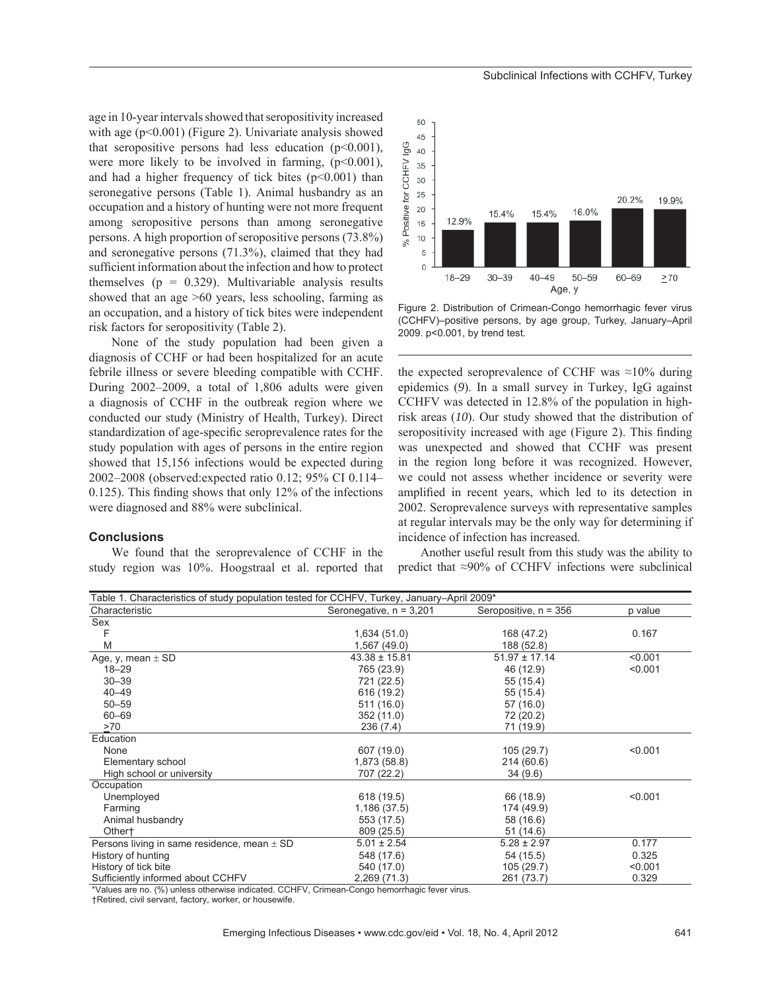age in 10-year intervals showed that seropositivity increased with age (p<0.001) (Figure 2). Univariate analysis showed that seropositive persons had less education  $(p<0.001)$ , were more likely to be involved in farming,  $(p<0.001)$ , and had a higher frequency of tick bites  $(p<0.001)$  than seronegative persons (Table 1). Animal husbandry as an occupation and a history of hunting were not more frequent among seropositive persons than among seronegative persons. A high proportion of seropositive persons (73.8%) and seronegative persons (71.3%), claimed that they had sufficient information about the infection and how to protect themselves ( $p = 0.329$ ). Multivariable analysis results showed that an age >60 years, less schooling, farming as an occupation, and a history of tick bites were independent risk factors for seropositivity (Table 2).

None of the study population had been given a diagnosis of CCHF or had been hospitalized for an acute febrile illness or severe bleeding compatible with CCHF. During 2002–2009, a total of 1,806 adults were given a diagnosis of CCHF in the outbreak region where we conducted our study (Ministry of Health, Turkey). Direct standardization of age-specific seroprevalence rates for the study population with ages of persons in the entire region showed that 15,156 infections would be expected during 2002–2008 (observed:expected ratio 0.12; 95% CI 0.114– 0.125). This finding shows that only  $12\%$  of the infections were diagnosed and 88% were subclinical.

#### **Conclusions**

We found that the seroprevalence of CCHF in the study region was 10%. Hoogstraal et al. reported that



Figure 2. Distribution of Crimean-Congo hemorrhagic fever virus (CCHFV)–positive persons, by age group, Turkey, January–April 2009. p<0.001, by trend test.

the expected seroprevalence of CCHF was  $\approx 10\%$  during epidemics (*9*). In a small survey in Turkey, IgG against CCHFV was detected in 12.8% of the population in highrisk areas (*10*). Our study showed that the distribution of seropositivity increased with age (Figure 2). This finding was unexpected and showed that CCHF was present in the region long before it was recognized. However, we could not assess whether incidence or severity were amplified in recent years, which led to its detection in 2002. Seroprevalence surveys with representative samples at regular intervals may be the only way for determining if incidence of infection has increased.

Another useful result from this study was the ability to predict that ≈90% of CCHFV infections were subclinical

| Table 1. Characteristics of study population tested for CCHFV, Turkey, January-April 2009* |                           |                         |         |
|--------------------------------------------------------------------------------------------|---------------------------|-------------------------|---------|
| Characteristic                                                                             | Seronegative, $n = 3,201$ | Seropositive, $n = 356$ | p value |
| Sex                                                                                        |                           |                         |         |
| F                                                                                          | 1,634(51.0)               | 168 (47.2)              | 0.167   |
| M                                                                                          | 1,567(49.0)               | 188 (52.8)              |         |
| Age, y, mean $\pm$ SD                                                                      | $43.38 \pm 15.81$         | $51.97 \pm 17.14$       | < 0.001 |
| $18 - 29$                                                                                  | 765 (23.9)                | 46 (12.9)               | < 0.001 |
| $30 - 39$                                                                                  | 721 (22.5)                | 55 (15.4)               |         |
| $40 - 49$                                                                                  | 616 (19.2)                | 55 (15.4)               |         |
| $50 - 59$                                                                                  | 511 (16.0)                | 57 (16.0)               |         |
| 60-69                                                                                      | 352 (11.0)                | 72 (20.2)               |         |
| >70                                                                                        | 236(7.4)                  | 71 (19.9)               |         |
| Education                                                                                  |                           |                         |         |
| None                                                                                       | 607 (19.0)                | 105 (29.7)              | < 0.001 |
| Elementary school                                                                          | 1,873 (58.8)              | 214 (60.6)              |         |
| High school or university                                                                  | 707 (22.2)                | 34(9.6)                 |         |
| Occupation                                                                                 |                           |                         |         |
| Unemployed                                                                                 | 618 (19.5)                | 66 (18.9)               | < 0.001 |
| Farming                                                                                    | 1,186(37.5)               | 174 (49.9)              |         |
| Animal husbandry                                                                           | 553 (17.5)                | 58 (16.6)               |         |
| Other <sup>+</sup>                                                                         | 809 (25.5)                | 51(14.6)                |         |
| Persons living in same residence, mean $\pm$ SD                                            | $5.01 \pm 2.54$           | $5.28 \pm 2.97$         | 0.177   |
| History of hunting                                                                         | 548 (17.6)                | 54 (15.5)               | 0.325   |
| History of tick bite                                                                       | 540 (17.0)                | 105 (29.7)              | < 0.001 |
| Sufficiently informed about CCHFV                                                          | 2,269(71.3)               | 261 (73.7)              | 0.329   |

\*Values are no. (%) unless otherwise indicated. CCHFV, Crimean-Congo hemorrhagic fever virus.

†Retired, civil servant, factory, worker, or housewife.